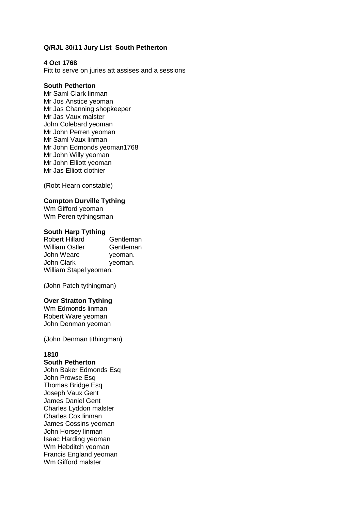# **Q/RJL 30/11 Jury List South Petherton**

### **4 Oct 1768**

Fitt to serve on juries att assises and a sessions

### **South Petherton**

Mr Saml Clark linman Mr Jos Anstice yeoman Mr Jas Channing shopkeeper Mr Jas Vaux malster John Colebard yeoman Mr John Perren yeoman Mr Saml Vaux linman Mr John Edmonds yeoman1768 Mr John Willy yeoman Mr John Elliott yeoman Mr Jas Elliott clothier

(Robt Hearn constable)

### **Compton Durville Tything**

Wm Gifford yeoman Wm Peren tythingsman

### **South Harp Tything**

Robert Hillard Gentleman William Ostler **Gentleman** John Weare **yeoman**. John Clark veoman. William Stapel yeoman.

(John Patch tythingman)

### **Over Stratton Tything**

Wm Edmonds linman Robert Ware yeoman John Denman yeoman

(John Denman tithingman)

### **1810**

### **South Petherton**

John Baker Edmonds Esq John Prowse Esq Thomas Bridge Esq Joseph Vaux Gent James Daniel Gent Charles Lyddon malster Charles Cox linman James Cossins yeoman John Horsey linman Isaac Harding yeoman Wm Hebditch yeoman Francis England yeoman Wm Gifford malster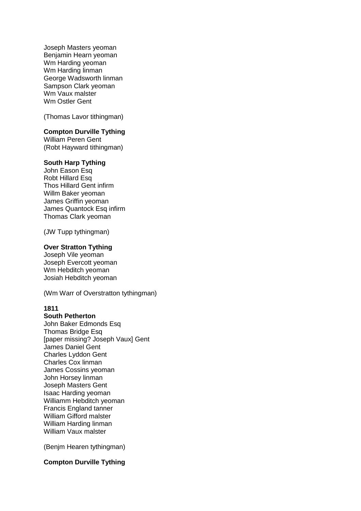Joseph Masters yeoman Benjamin Hearn yeoman Wm Harding yeoman Wm Harding linman George Wadsworth linman Sampson Clark yeoman Wm Vaux malster Wm Ostler Gent

(Thomas Lavor tithingman)

# **Compton Durville Tything**

William Peren Gent (Robt Hayward tithingman)

# **South Harp Tything**

John Eason Esq Robt Hillard Esq Thos Hillard Gent infirm Willm Baker yeoman James Griffin yeoman James Quantock Esq infirm Thomas Clark yeoman

(JW Tupp tythingman)

#### **Over Stratton Tything**

Joseph Vile yeoman Joseph Evercott yeoman Wm Hebditch yeoman Josiah Hebditch yeoman

(Wm Warr of Overstratton tythingman)

# **1811**

### **South Petherton**  John Baker Edmonds Esq Thomas Bridge Esq [paper missing? Joseph Vaux] Gent James Daniel Gent Charles Lyddon Gent Charles Cox linman James Cossins yeoman John Horsey linman Joseph Masters Gent Isaac Harding yeoman Williamm Hebditch yeoman Francis England tanner William Gifford malster William Harding linman William Vaux malster

(Benjm Hearen tythingman)

# **Compton Durville Tything**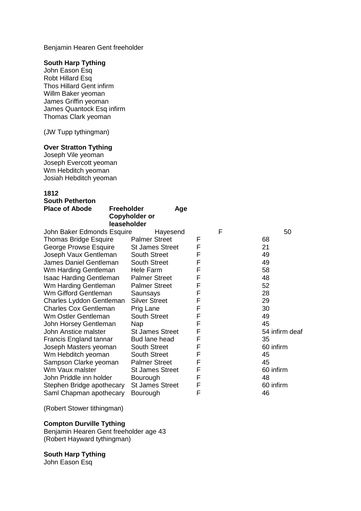Benjamin Hearen Gent freeholder

### **South Harp Tything**

John Eason Esq Robt Hillard Esq Thos Hillard Gent infirm Willm Baker yeoman James Griffin yeoman James Quantock Esq infirm Thomas Clark yeoman

(JW Tupp tythingman)

# **Over Stratton Tything**

Joseph Vile yeoman Joseph Evercott yeoman Wm Hebditch yeoman Josiah Hebditch yeoman

# **1812**

| <b>South Petherton</b>                     |                                            |   |   |                |
|--------------------------------------------|--------------------------------------------|---|---|----------------|
| <b>Place of Abode</b><br><b>Freeholder</b> | Age<br><b>Copyholder or</b><br>leaseholder |   |   |                |
| John Baker Edmonds Esquire                 | Hayesend                                   |   | F | 50             |
| Thomas Bridge Esquire                      | <b>Palmer Street</b>                       | F |   | 68             |
| George Prowse Esquire                      | <b>St James Street</b>                     | F |   | 21             |
| Joseph Vaux Gentleman                      | <b>South Street</b>                        | F |   | 49             |
| James Daniel Gentleman                     | <b>South Street</b>                        | F |   | 49             |
| Wm Harding Gentleman                       | Hele Farm                                  | F |   | 58             |
| <b>Isaac Harding Gentleman</b>             | <b>Palmer Street</b>                       | F |   | 48             |
| Wm Harding Gentleman                       | <b>Palmer Street</b>                       | F |   | 52             |
| Wm Gifford Gentleman                       | Saunsays                                   | F |   | 28             |
| Charles Lyddon Gentleman                   | <b>Silver Street</b>                       | F |   | 29             |
| <b>Charles Cox Gentleman</b>               | Prig Lane                                  | F |   | 30             |
| Wm Ostler Gentleman                        | <b>South Street</b>                        | F |   | 49             |
| John Horsey Gentleman<br><b>Nap</b>        |                                            | F |   | 45             |
| John Anstice malster                       | <b>St James Street</b>                     | F |   | 54 infirm deaf |
| Francis England tannar                     | Bud lane head                              | F |   | 35             |
| Joseph Masters yeoman                      | <b>South Street</b>                        | F |   | 60 infirm      |
| Wm Hebditch yeoman                         | <b>South Street</b>                        | F |   | 45             |
| Sampson Clarke yeoman                      | <b>Palmer Street</b>                       | F |   | 45             |
| Wm Vaux malster                            | <b>St James Street</b>                     | F |   | 60 infirm      |
| John Priddle inn holder                    | Bourough                                   | F |   | 48             |
| Stephen Bridge apothecary                  | <b>St James Street</b>                     | F |   | 60 infirm      |
| Saml Chapman apothecary                    | Bourough                                   | F |   | 46             |

(Robert Stower tithingman)

## **Compton Durville Tything**

Benjamin Hearen Gent freeholder age 43 (Robert Hayward tythingman)

## **South Harp Tything**

John Eason Esq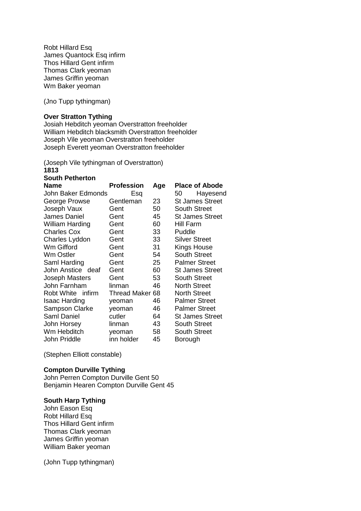Robt Hillard Esq James Quantock Esq infirm Thos Hillard Gent infirm Thomas Clark yeoman James Griffin yeoman Wm Baker yeoman

(Jno Tupp tythingman)

### **Over Stratton Tything**

Josiah Hebditch yeoman Overstratton freeholder William Hebditch blacksmith Overstratton freeholder Joseph Vile yeoman Overstratton freeholder Joseph Everett yeoman Overstratton freeholder

(Joseph Vile tythingman of Overstratton)

**1813 South Petherton** 

| <b>Name</b>            | <b>Profession</b> | Age | <b>Place of Abode</b>  |
|------------------------|-------------------|-----|------------------------|
| John Baker Edmonds     | Esq               |     | 50<br>Hayesend         |
| George Prowse          | Gentleman         | 23  | <b>St James Street</b> |
| Joseph Vaux            | Gent              | 50  | <b>South Street</b>    |
| James Daniel           | Gent              | 45  | <b>St James Street</b> |
| <b>William Harding</b> | Gent              | 60  | Hill Farm              |
| <b>Charles Cox</b>     | Gent              | 33  | Puddle                 |
| Charles Lyddon         | Gent              | 33  | <b>Silver Street</b>   |
| Wm Gifford             | Gent              | 31  | Kings House            |
| Wm Ostler              | Gent              | 54  | <b>South Street</b>    |
| Saml Harding           | Gent              | 25  | <b>Palmer Street</b>   |
| John Anstice deaf      | Gent              | 60  | <b>St James Street</b> |
| <b>Joseph Masters</b>  | Gent              | 53  | <b>South Street</b>    |
| John Farnham           | linman            | 46  | <b>North Street</b>    |
| Robt White infirm      | Thread Maker 68   |     | <b>North Street</b>    |
| Isaac Harding          | yeoman            | 46  | <b>Palmer Street</b>   |
| Sampson Clarke         | yeoman            | 46  | <b>Palmer Street</b>   |
| Saml Daniel            | cutler            | 64  | <b>St James Street</b> |
| John Horsey            | linman            | 43  | <b>South Street</b>    |
| Wm Hebditch            | yeoman            | 58  | <b>South Street</b>    |
| John Priddle           | inn holder        | 45  | Borough                |

(Stephen Elliott constable)

# **Compton Durville Tything**

John Perren Compton Durville Gent 50 Benjamin Hearen Compton Durville Gent 45

### **South Harp Tything**

John Eason Esq Robt Hillard Esq Thos Hillard Gent infirm Thomas Clark yeoman James Griffin yeoman William Baker yeoman

(John Tupp tythingman)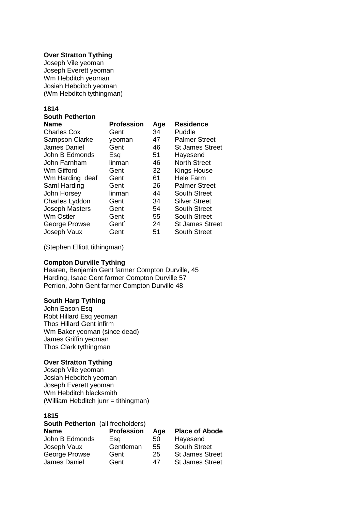### **Over Stratton Tything**

Joseph Vile yeoman Joseph Everett yeoman Wm Hebditch yeoman Josiah Hebditch yeoman (Wm Hebditch tythingman)

#### **1814 South Petherton**

| <b>Name</b>           | <b>Profession</b> | Age | <b>Residence</b>       |
|-----------------------|-------------------|-----|------------------------|
| <b>Charles Cox</b>    | Gent              | 34  | Puddle                 |
| <b>Sampson Clarke</b> | yeoman            | 47  | <b>Palmer Street</b>   |
| James Daniel          | Gent              | 46  | <b>St James Street</b> |
| John B Edmonds        | Esq               | 51  | Hayesend               |
| John Farnham          | linman            | 46  | <b>North Street</b>    |
| Wm Gifford            | Gent              | 32  | <b>Kings House</b>     |
| Wm Harding deaf       | Gent              | 61  | <b>Hele Farm</b>       |
| Saml Harding          | Gent              | 26  | <b>Palmer Street</b>   |
| John Horsey           | linman            | 44  | <b>South Street</b>    |
| Charles Lyddon        | Gent              | 34  | <b>Silver Street</b>   |
| <b>Joseph Masters</b> | Gent              | 54  | <b>South Street</b>    |
| Wm Ostler             | Gent              | 55  | <b>South Street</b>    |
| George Prowse         | Gent`             | 24  | <b>St James Street</b> |
| Joseph Vaux           | Gent              | 51  | <b>South Street</b>    |
|                       |                   |     |                        |

(Stephen Elliott tithingman)

# **Compton Durville Tything**

Hearen, Benjamin Gent farmer Compton Durville, 45 Harding, Isaac Gent farmer Compton Durville 57 Perrion, John Gent farmer Compton Durville 48

### **South Harp Tything**

John Eason Esq Robt Hillard Esq yeoman Thos Hillard Gent infirm Wm Baker yeoman (since dead) James Griffin yeoman Thos Clark tythingman

# **Over Stratton Tything**

Joseph Vile yeoman Josiah Hebditch yeoman Joseph Everett yeoman Wm Hebditch blacksmith (William Hebditch junr = tithingman)

# **1815**

| <b>South Petherton</b> (all freeholders) |                   |     |                        |  |
|------------------------------------------|-------------------|-----|------------------------|--|
| <b>Name</b>                              | <b>Profession</b> | Age | <b>Place of Abode</b>  |  |
| John B Edmonds                           | Esa               | 50  | Hayesend               |  |
| Joseph Vaux                              | Gentleman         | 55  | <b>South Street</b>    |  |
| George Prowse                            | Gent              | 25  | <b>St James Street</b> |  |
| James Daniel                             | Gent              | 47  | <b>St James Street</b> |  |